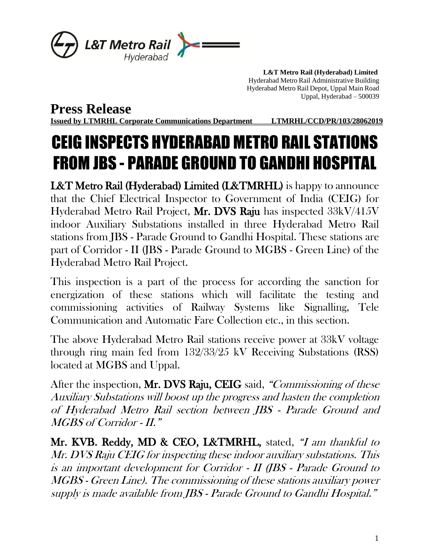

 **L&T Metro Rail (Hyderabad) Limited** Hyderabad Metro Rail Administrative Building Hyderabad Metro Rail Depot, Uppal Main Road Uppal, Hyderabad – 500039

**Press Release**

**Issued by LTMRHL Corporate Communications Department LTMRHL/CCD/PR/103/28062019**

## CEIG INSPECTS HYDERABAD METRO RAIL STATIONS FROM JBS - PARADE GROUND TO GANDHI HOSPITAL

L&T Metro Rail (Hyderabad) Limited (L&TMRHL) is happy to announce that the Chief Electrical Inspector to Government of India (CEIG) for Hyderabad Metro Rail Project, Mr. DVS Raju has inspected 33kV/415V indoor Auxiliary Substations installed in three Hyderabad Metro Rail stations from JBS - Parade Ground to Gandhi Hospital. These stations are part of Corridor - II (JBS - Parade Ground to MGBS - Green Line) of the Hyderabad Metro Rail Project.

This inspection is a part of the process for according the sanction for energization of these stations which will facilitate the testing and commissioning activities of Railway Systems like Signalling, Tele Communication and Automatic Fare Collection etc., in this section.

The above Hyderabad Metro Rail stations receive power at 33kV voltage through ring main fed from 132/33/25 kV Receiving Substations (RSS) located at MGBS and Uppal.

After the inspection, Mr. DVS Raju, CEIG said, "Commissioning of these Auxiliary Substations will boost up the progress and hasten the completion of Hyderabad Metro Rail section between JBS - Parade Ground and MGBS of Corridor - II."

Mr. KVB. Reddy, MD & CEO, L&TMRHL, stated, "I am thankful to Mr. DVS Raju CEIG for inspecting these indoor auxiliary substations. This is an important development for Corridor - II (JBS - Parade Ground to MGBS - Green Line). The commissioning of these stations auxiliary power supply is made available from JBS - Parade Ground to Gandhi Hospital."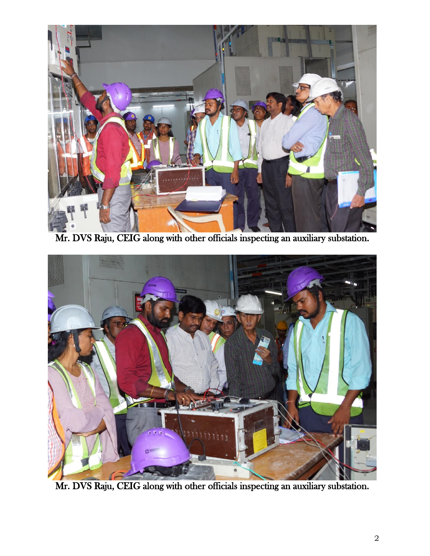

Mr. DVS Raju, CEIG along with other officials inspecting an auxiliary substation.



Mr. DVS Raju, CEIG along with other officials inspecting an auxiliary substation.